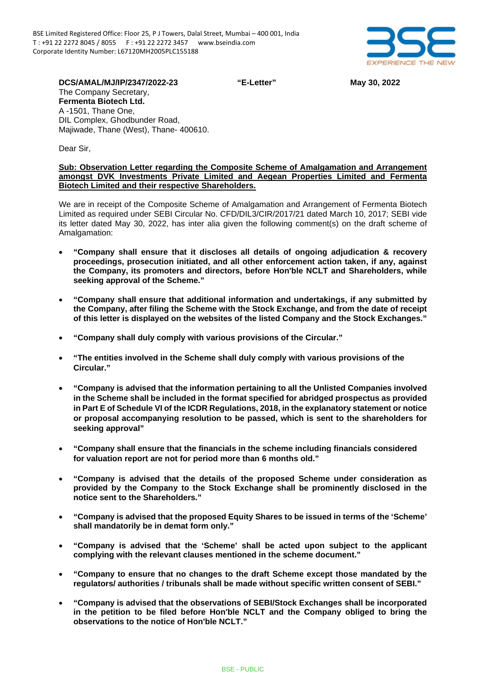

**DCS/AMAL/MJ/IP/2347/2022-23 "E-Letter" May 30, 2022** The Company Secretary, **Fermenta Biotech Ltd.** A -1501, Thane One, DIL Complex, Ghodbunder Road, Majiwade, Thane (West), Thane- 400610.

Dear Sir,

## **Sub: Observation Letter regarding the Composite Scheme of Amalgamation and Arrangement amongst DVK Investments Private Limited and Aegean Properties Limited and Fermenta Biotech Limited and their respective Shareholders.**

We are in receipt of the Composite Scheme of Amalgamation and Arrangement of Fermenta Biotech Limited as required under SEBI Circular No. CFD/DIL3/CIR/2017/21 dated March 10, 2017; SEBI vide its letter dated May 30, 2022, has inter alia given the following comment(s) on the draft scheme of Amalgamation:

- **"Company shall ensure that it discloses all details of ongoing adjudication & recovery proceedings, prosecution initiated, and all other enforcement action taken, if any, against the Company, its promoters and directors, before Hon'ble NCLT and Shareholders, while seeking approval of the Scheme."**
- **"Company shall ensure that additional information and undertakings, if any submitted by the Company, after filing the Scheme with the Stock Exchange, and from the date of receipt of this letter is displayed on the websites of the listed Company and the Stock Exchanges."**
- **"Company shall duly comply with various provisions of the Circular."**
- **"The entities involved in the Scheme shall duly comply with various provisions of the Circular."**
- **"Company is advised that the information pertaining to all the Unlisted Companies involved in the Scheme shall be included in the format specified for abridged prospectus as provided in Part E of Schedule VI of the ICDR Regulations, 2018, in the explanatory statement or notice or proposal accompanying resolution to be passed, which is sent to the shareholders for seeking approval"**
- **"Company shall ensure that the financials in the scheme including financials considered for valuation report are not for period more than 6 months old."**
- **"Company is advised that the details of the proposed Scheme under consideration as provided by the Company to the Stock Exchange shall be prominently disclosed in the notice sent to the Shareholders."**
- **"Company is advised that the proposed Equity Shares to be issued in terms of the 'Scheme' shall mandatorily be in demat form only."**
- **"Company is advised that the 'Scheme' shall be acted upon subject to the applicant complying with the relevant clauses mentioned in the scheme document."**
- **"Company to ensure that no changes to the draft Scheme except those mandated by the regulators/ authorities / tribunals shall be made without specific written consent of SEBI."**
- **"Company is advised that the observations of SEBI/Stock Exchanges shall be incorporated in the petition to be filed before Hon'ble NCLT and the Company obliged to bring the observations to the notice of Hon'ble NCLT."**